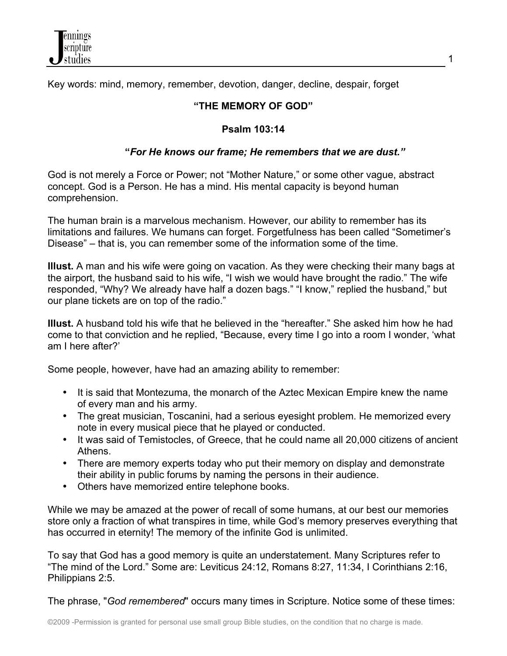

Key words: mind, memory, remember, devotion, danger, decline, despair, forget

## **"THE MEMORY OF GOD"**

## **Psalm 103:14**

## **"***For He knows our frame; He remembers that we are dust."*

God is not merely a Force or Power; not "Mother Nature," or some other vague, abstract concept. God is a Person. He has a mind. His mental capacity is beyond human comprehension.

The human brain is a marvelous mechanism. However, our ability to remember has its limitations and failures. We humans can forget. Forgetfulness has been called "Sometimer's Disease" – that is, you can remember some of the information some of the time.

**Illust.** A man and his wife were going on vacation. As they were checking their many bags at the airport, the husband said to his wife, "I wish we would have brought the radio." The wife responded, "Why? We already have half a dozen bags." "I know," replied the husband," but our plane tickets are on top of the radio."

**Illust.** A husband told his wife that he believed in the "hereafter." She asked him how he had come to that conviction and he replied, "Because, every time I go into a room I wonder, 'what am I here after?'

Some people, however, have had an amazing ability to remember:

- It is said that Montezuma, the monarch of the Aztec Mexican Empire knew the name of every man and his army.
- The great musician, Toscanini, had a serious eyesight problem. He memorized every note in every musical piece that he played or conducted.
- It was said of Temistocles, of Greece, that he could name all 20,000 citizens of ancient Athens.
- There are memory experts today who put their memory on display and demonstrate their ability in public forums by naming the persons in their audience.
- Others have memorized entire telephone books.

While we may be amazed at the power of recall of some humans, at our best our memories store only a fraction of what transpires in time, while God's memory preserves everything that has occurred in eternity! The memory of the infinite God is unlimited.

To say that God has a good memory is quite an understatement. Many Scriptures refer to "The mind of the Lord." Some are: Leviticus 24:12, Romans 8:27, 11:34, I Corinthians 2:16, Philippians 2:5.

The phrase, "*God remembered*" occurs many times in Scripture. Notice some of these times: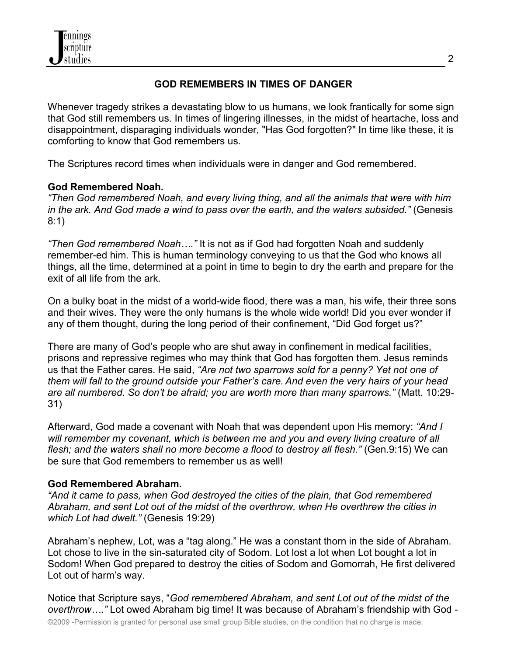

## **GOD REMEMBERS IN TIMES OF DANGER**

Whenever tragedy strikes a devastating blow to us humans, we look frantically for some sign that God still remembers us. In times of lingering illnesses, in the midst of heartache, loss and disappointment, disparaging individuals wonder, "Has God forgotten?" In time like these, it is comforting to know that God remembers us.

The Scriptures record times when individuals were in danger and God remembered.

## **God Remembered Noah.**

*"Then God remembered Noah, and every living thing, and all the animals that were with him in the ark. And God made a wind to pass over the earth, and the waters subsided."* (Genesis 8:1)

*"Then God remembered Noah…."* It is not as if God had forgotten Noah and suddenly remember-ed him. This is human terminology conveying to us that the God who knows all things, all the time, determined at a point in time to begin to dry the earth and prepare for the exit of all life from the ark.

On a bulky boat in the midst of a world-wide flood, there was a man, his wife, their three sons and their wives. They were the only humans is the whole wide world! Did you ever wonder if any of them thought, during the long period of their confinement, "Did God forget us?"

There are many of God's people who are shut away in confinement in medical facilities, prisons and repressive regimes who may think that God has forgotten them. Jesus reminds us that the Father cares. He said, *"Are not two sparrows sold for a penny? Yet not one of them will fall to the ground outside your Father's care. And even the very hairs of your head are all numbered. So don't be afraid; you are worth more than many sparrows."* (Matt. 10:29- 31)

Afterward, God made a covenant with Noah that was dependent upon His memory: *"And I will remember my covenant, which is between me and you and every living creature of all flesh; and the waters shall no more become a flood to destroy all flesh."* (Gen.9:15) We can be sure that God remembers to remember us as well!

### **God Remembered Abraham.**

*"And it came to pass, when God destroyed the cities of the plain, that God remembered Abraham, and sent Lot out of the midst of the overthrow, when He overthrew the cities in which Lot had dwelt."* (Genesis 19:29)

Abraham's nephew, Lot, was a "tag along." He was a constant thorn in the side of Abraham. Lot chose to live in the sin-saturated city of Sodom. Lot lost a lot when Lot bought a lot in Sodom! When God prepared to destroy the cities of Sodom and Gomorrah, He first delivered Lot out of harm's way.

Notice that Scripture says, "*God remembered Abraham, and sent Lot out of the midst of the overthrow…."* Lot owed Abraham big time! It was because of Abraham's friendship with God -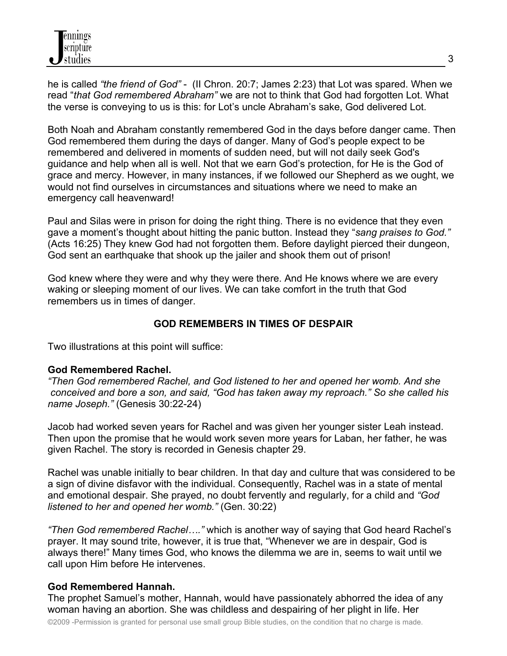he is called *"the friend of God"* - (II Chron. 20:7; James 2:23) that Lot was spared. When we read "*that God remembered Abraham"* we are not to think that God had forgotten Lot. What the verse is conveying to us is this: for Lot's uncle Abraham's sake, God delivered Lot.

Both Noah and Abraham constantly remembered God in the days before danger came. Then God remembered them during the days of danger. Many of God's people expect to be remembered and delivered in moments of sudden need, but will not daily seek God's guidance and help when all is well. Not that we earn God's protection, for He is the God of grace and mercy. However, in many instances, if we followed our Shepherd as we ought, we would not find ourselves in circumstances and situations where we need to make an emergency call heavenward!

Paul and Silas were in prison for doing the right thing. There is no evidence that they even gave a moment's thought about hitting the panic button. Instead they "*sang praises to God."* (Acts 16:25) They knew God had not forgotten them. Before daylight pierced their dungeon, God sent an earthquake that shook up the jailer and shook them out of prison!

God knew where they were and why they were there. And He knows where we are every waking or sleeping moment of our lives. We can take comfort in the truth that God remembers us in times of danger.

## **GOD REMEMBERS IN TIMES OF DESPAIR**

Two illustrations at this point will suffice:

### **God Remembered Rachel.**

*"Then God remembered Rachel, and God listened to her and opened her womb. And she conceived and bore a son, and said, "God has taken away my reproach." So she called his name Joseph."* (Genesis 30:22-24)

Jacob had worked seven years for Rachel and was given her younger sister Leah instead. Then upon the promise that he would work seven more years for Laban, her father, he was given Rachel. The story is recorded in Genesis chapter 29.

Rachel was unable initially to bear children. In that day and culture that was considered to be a sign of divine disfavor with the individual. Consequently, Rachel was in a state of mental and emotional despair. She prayed, no doubt fervently and regularly, for a child and *"God listened to her and opened her womb."* (Gen. 30:22)

*"Then God remembered Rachel…."* which is another way of saying that God heard Rachel's prayer. It may sound trite, however, it is true that, "Whenever we are in despair, God is always there!" Many times God, who knows the dilemma we are in, seems to wait until we call upon Him before He intervenes.

### **God Remembered Hannah.**

The prophet Samuel's mother, Hannah, would have passionately abhorred the idea of any woman having an abortion. She was childless and despairing of her plight in life. Her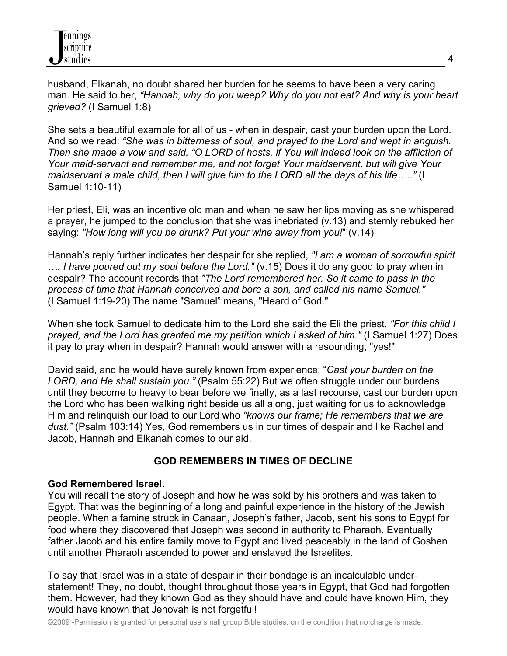husband, Elkanah, no doubt shared her burden for he seems to have been a very caring man. He said to her, *"Hannah, why do you weep? Why do you not eat? And why is your heart grieved?* (I Samuel 1:8)

She sets a beautiful example for all of us - when in despair, cast your burden upon the Lord. And so we read: *"She was in bitterness of soul, and prayed to the Lord and wept in anguish. Then she made a vow and said, "O LORD of hosts, if You will indeed look on the affliction of Your maid-servant and remember me, and not forget Your maidservant, but will give Your maidservant a male child, then I will give him to the LORD all the days of his life….."* (I Samuel 1:10-11)

Her priest, Eli, was an incentive old man and when he saw her lips moving as she whispered a prayer, he jumped to the conclusion that she was inebriated (v.13) and sternly rebuked her saying: *"How long will you be drunk? Put your wine away from you!*" (v.14)

Hannah's reply further indicates her despair for she replied, *"I am a woman of sorrowful spirit …. I have poured out my soul before the Lord."* (v.15) Does it do any good to pray when in despair? The account records that *"The Lord remembered her. So it came to pass in the process of time that Hannah conceived and bore a son, and called his name Samuel."* (I Samuel 1:19-20) The name "Samuel" means, "Heard of God."

When she took Samuel to dedicate him to the Lord she said the Eli the priest, *"For this child I prayed, and the Lord has granted me my petition which I asked of him."* (I Samuel 1:27) Does it pay to pray when in despair? Hannah would answer with a resounding, "yes!"

David said, and he would have surely known from experience: "*Cast your burden on the LORD, and He shall sustain you."* (Psalm 55:22) But we often struggle under our burdens until they become to heavy to bear before we finally, as a last recourse, cast our burden upon the Lord who has been walking right beside us all along, just waiting for us to acknowledge Him and relinquish our load to our Lord who *"knows our frame; He remembers that we are dust."* (Psalm 103:14) Yes, God remembers us in our times of despair and like Rachel and Jacob, Hannah and Elkanah comes to our aid.

# **GOD REMEMBERS IN TIMES OF DECLINE**

## **God Remembered Israel.**

You will recall the story of Joseph and how he was sold by his brothers and was taken to Egypt. That was the beginning of a long and painful experience in the history of the Jewish people. When a famine struck in Canaan, Joseph's father, Jacob, sent his sons to Egypt for food where they discovered that Joseph was second in authority to Pharaoh. Eventually father Jacob and his entire family move to Egypt and lived peaceably in the land of Goshen until another Pharaoh ascended to power and enslaved the Israelites.

To say that Israel was in a state of despair in their bondage is an incalculable understatement! They, no doubt, thought throughout those years in Egypt, that God had forgotten them. However, had they known God as they should have and could have known Him, they would have known that Jehovah is not forgetful!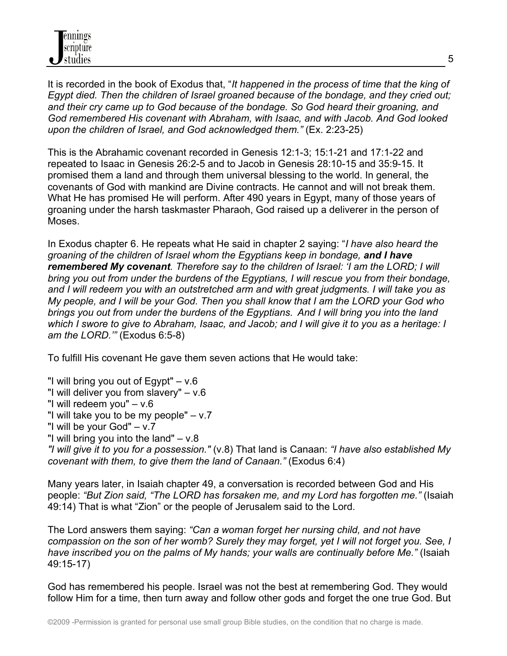It is recorded in the book of Exodus that, "*It happened in the process of time that the king of Egypt died. Then the children of Israel groaned because of the bondage, and they cried out; and their cry came up to God because of the bondage. So God heard their groaning, and God remembered His covenant with Abraham, with Isaac, and with Jacob. And God looked upon the children of Israel, and God acknowledged them."* (Ex. 2:23-25)

This is the Abrahamic covenant recorded in Genesis 12:1-3; 15:1-21 and 17:1-22 and repeated to Isaac in Genesis 26:2-5 and to Jacob in Genesis 28:10-15 and 35:9-15. It promised them a land and through them universal blessing to the world. In general, the covenants of God with mankind are Divine contracts. He cannot and will not break them. What He has promised He will perform. After 490 years in Egypt, many of those years of groaning under the harsh taskmaster Pharaoh, God raised up a deliverer in the person of Moses.

In Exodus chapter 6. He repeats what He said in chapter 2 saying: "*I have also heard the groaning of the children of Israel whom the Egyptians keep in bondage, and I have remembered My covenant. Therefore say to the children of Israel: 'I am the LORD; I will bring you out from under the burdens of the Egyptians, I will rescue you from their bondage, and I will redeem you with an outstretched arm and with great judgments. I will take you as My people, and I will be your God. Then you shall know that I am the LORD your God who brings you out from under the burdens of the Egyptians. And I will bring you into the land which I swore to give to Abraham, Isaac, and Jacob; and I will give it to you as a heritage: I am the LORD.'"* (Exodus 6:5-8)

To fulfill His covenant He gave them seven actions that He would take:

- "I will bring you out of Egypt"  $v.6$
- "I will deliver you from slavery" v.6
- "I will redeem you" v.6
- "I will take you to be my people"  $v.7$
- "I will be your God" v.7
- "I will bring you into the land" v.8

*"I will give it to you for a possession."* (v.8) That land is Canaan: *"I have also established My covenant with them, to give them the land of Canaan."* (Exodus 6:4)

Many years later, in Isaiah chapter 49, a conversation is recorded between God and His people: *"But Zion said, "The LORD has forsaken me, and my Lord has forgotten me."* (Isaiah 49:14) That is what "Zion" or the people of Jerusalem said to the Lord.

The Lord answers them saying: *"Can a woman forget her nursing child, and not have compassion on the son of her womb? Surely they may forget, yet I will not forget you. See, I have inscribed you on the palms of My hands; your walls are continually before Me."* (Isaiah 49:15-17)

God has remembered his people. Israel was not the best at remembering God. They would follow Him for a time, then turn away and follow other gods and forget the one true God. But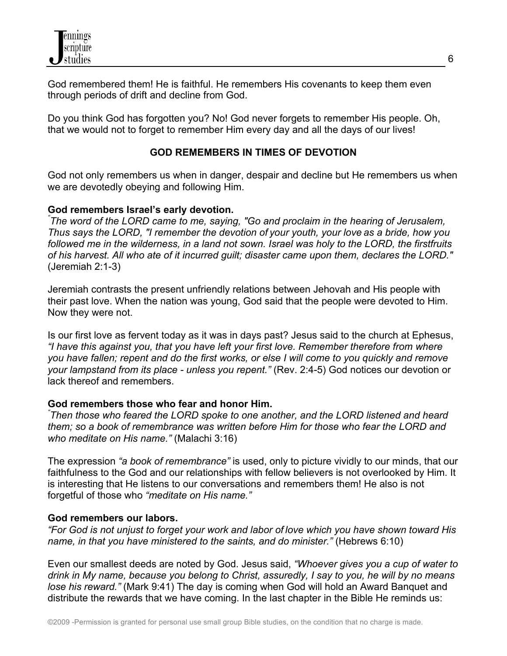

God remembered them! He is faithful. He remembers His covenants to keep them even through periods of drift and decline from God.

Do you think God has forgotten you? No! God never forgets to remember His people. Oh, that we would not to forget to remember Him every day and all the days of our lives!

### **GOD REMEMBERS IN TIMES OF DEVOTION**

God not only remembers us when in danger, despair and decline but He remembers us when we are devotedly obeying and following Him.

### **God remembers Israel's early devotion.**

*" The word of the LORD came to me, saying, "Go and proclaim in the hearing of Jerusalem, Thus says the LORD, "I remember the devotion of your youth, your love as a bride, how you followed me in the wilderness, in a land not sown. Israel was holy to the LORD, the firstfruits of his harvest. All who ate of it incurred guilt; disaster came upon them, declares the LORD."* (Jeremiah 2:1-3)

Jeremiah contrasts the present unfriendly relations between Jehovah and His people with their past love. When the nation was young, God said that the people were devoted to Him. Now they were not.

Is our first love as fervent today as it was in days past? Jesus said to the church at Ephesus, *"I have this against you, that you have left your first love. Remember therefore from where you have fallen; repent and do the first works, or else I will come to you quickly and remove your lampstand from its place - unless you repent."* (Rev. 2:4-5) God notices our devotion or lack thereof and remembers.

### **God remembers those who fear and honor Him.**

*" Then those who feared the LORD spoke to one another, and the LORD listened and heard them; so a book of remembrance was written before Him for those who fear the LORD and who meditate on His name."* (Malachi 3:16)

The expression *"a book of remembrance"* is used, only to picture vividly to our minds, that our faithfulness to the God and our relationships with fellow believers is not overlooked by Him. It is interesting that He listens to our conversations and remembers them! He also is not forgetful of those who *"meditate on His name."*

### **God remembers our labors.**

*"For God is not unjust to forget your work and labor of love which you have shown toward His name, in that you have ministered to the saints, and do minister."* (Hebrews 6:10)

Even our smallest deeds are noted by God. Jesus said, *"Whoever gives you a cup of water to drink in My name, because you belong to Christ, assuredly, I say to you, he will by no means lose his reward."* (Mark 9:41) The day is coming when God will hold an Award Banquet and distribute the rewards that we have coming. In the last chapter in the Bible He reminds us: